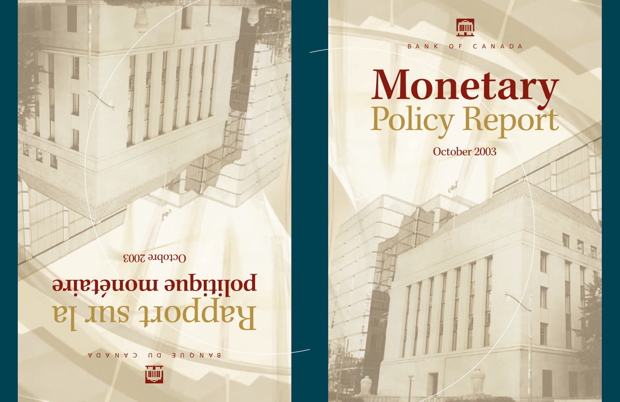

#### BANK OF CANADA

# **Monetary** Policy Report

October 2003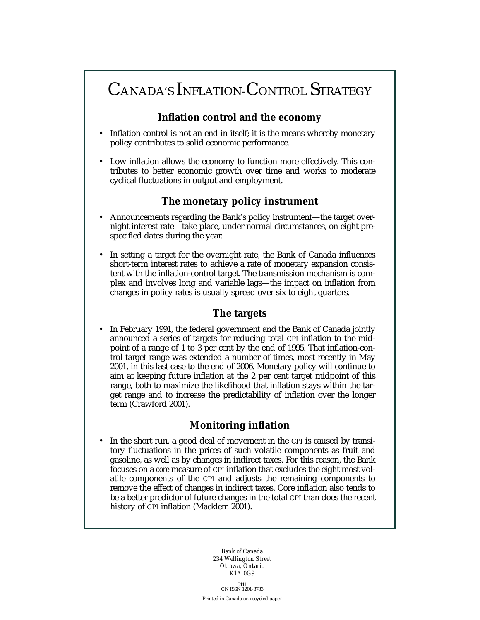## CANADA'S INFLATION-CONTROL STRATEGY

#### **Inflation control and the economy**

- Inflation control is not an end in itself; it is the means whereby monetary policy contributes to solid economic performance.
- Low inflation allows the economy to function more effectively. This contributes to better economic growth over time and works to moderate cyclical fluctuations in output and employment.

#### **The monetary policy instrument**

- Announcements regarding the Bank's policy instrument—the target overnight interest rate—take place, under normal circumstances, on eight prespecified dates during the year.
- In setting a target for the overnight rate, the Bank of Canada influences short-term interest rates to achieve a rate of monetary expansion consistent with the inflation-control target. The transmission mechanism is complex and involves long and variable lags—the impact on inflation from changes in policy rates is usually spread over six to eight quarters.

#### **The targets**

• In February 1991, the federal government and the Bank of Canada jointly announced a series of targets for reducing total CPI inflation to the midpoint of a range of 1 to 3 per cent by the end of 1995. That inflation-control target range was extended a number of times, most recently in May 2001, in this last case to the end of 2006. Monetary policy will continue to aim at keeping future inflation at the 2 per cent target midpoint of this range, both to maximize the likelihood that inflation stays within the target range and to increase the predictability of inflation over the longer term (Crawford 2001).

#### **Monitoring inflation**

In the short run, a good deal of movement in the CPI is caused by transitory fluctuations in the prices of such volatile components as fruit and gasoline, as well as by changes in indirect taxes. For this reason, the Bank focuses on a *core* measure of CPI inflation that excludes the eight most volatile components of the CPI and adjusts the remaining components to remove the effect of changes in indirect taxes. Core inflation also tends to be a better predictor of future changes in the total CPI than does the recent history of CPI inflation (Macklem 2001).

> *Bank of Canada 234 Wellington Street Ottawa, Ontario K1A 0G9*

 $5111$ <br>CN ISSN 1201-8783 Printed in Canada on recycled paper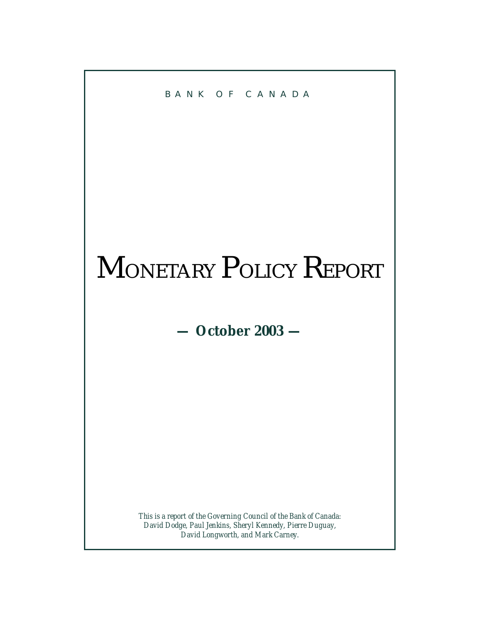

## MONETARY POLICY REPORT

**— October 2003 —**

*This is a report of the Governing Council of the Bank of Canada: David Dodge, Paul Jenkins, Sheryl Kennedy, Pierre Duguay, David Longworth, and Mark Carney.*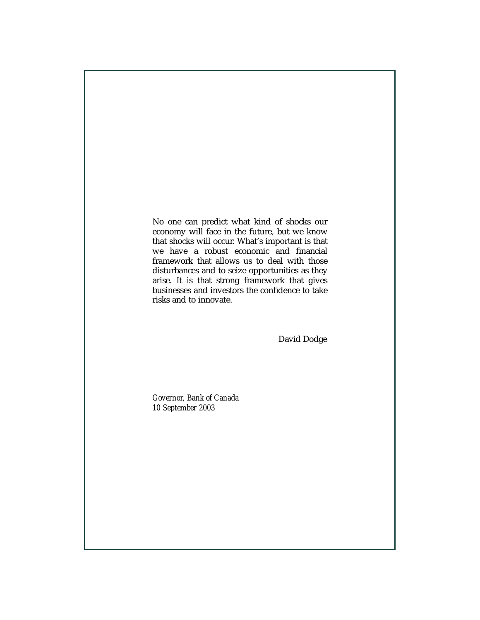No one can predict what kind of shocks our economy will face in the future, but we know that shocks will occur. What's important is that we have a robust economic and financial framework that allows us to deal with those disturbances and to seize opportunities as they arise. It is that strong framework that gives businesses and investors the confidence to take risks and to innovate.

David Dodge

*Governor, Bank of Canada 10 September 2003*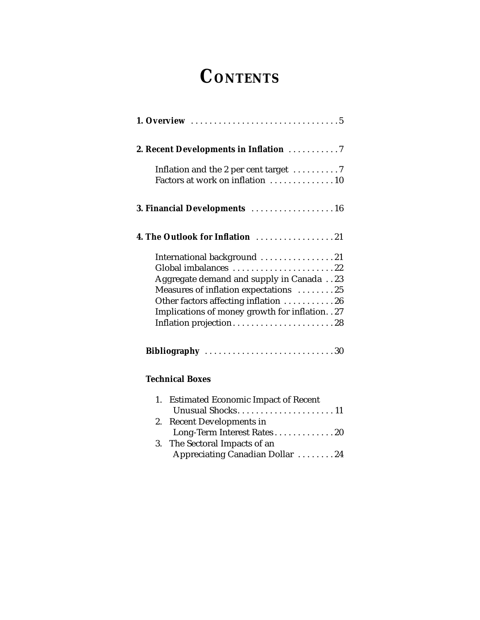## **CONTENTS**

| 2. Recent Developments in Inflation 7                                                                                                                                                                                                                          |
|----------------------------------------------------------------------------------------------------------------------------------------------------------------------------------------------------------------------------------------------------------------|
| Inflation and the 2 per cent target 7<br>Factors at work on inflation 10                                                                                                                                                                                       |
| 3. Financial Developments 16                                                                                                                                                                                                                                   |
| 4. The Outlook for Inflation 21                                                                                                                                                                                                                                |
| International background 21<br>Global imbalances 22<br>Aggregate demand and supply in Canada 23<br>Measures of inflation expectations 25<br>Other factors affecting inflation 26<br>Implications of money growth for inflation. . 27<br>Inflation projection28 |
| Bibliography 30                                                                                                                                                                                                                                                |
| <b>Technical Boxes</b>                                                                                                                                                                                                                                         |
| <b>Estimated Economic Impact of Recent</b><br>1.<br><b>Recent Developments in</b><br>2.<br>Long-Term Interest Rates20<br>The Sectoral Impacts of an<br>3.                                                                                                      |
| Appreciating Canadian Dollar 24                                                                                                                                                                                                                                |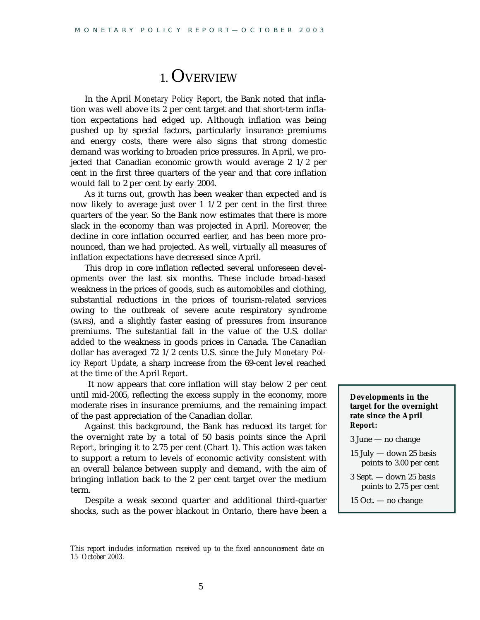## 1. OVERVIEW

In the April *Monetary Policy Report*, the Bank noted that inflation was well above its 2 per cent target and that short-term inflation expectations had edged up. Although inflation was being pushed up by special factors, particularly insurance premiums and energy costs, there were also signs that strong domestic demand was working to broaden price pressures. In April, we projected that Canadian economic growth would average 2 1/2 per cent in the first three quarters of the year and that core inflation would fall to 2 per cent by early 2004.

As it turns out, growth has been weaker than expected and is now likely to average just over 1 1/2 per cent in the first three quarters of the year. So the Bank now estimates that there is more slack in the economy than was projected in April. Moreover, the decline in core inflation occurred earlier, and has been more pronounced, than we had projected. As well, virtually all measures of inflation expectations have decreased since April.

This drop in core inflation reflected several unforeseen developments over the last six months. These include broad-based weakness in the prices of goods, such as automobiles and clothing, substantial reductions in the prices of tourism-related services owing to the outbreak of severe acute respiratory syndrome (SARS), and a slightly faster easing of pressures from insurance premiums. The substantial fall in the value of the U.S. dollar added to the weakness in goods prices in Canada. The Canadian dollar has averaged 72 1/2 cents U.S. since the July *Monetary Policy Report Update*, a sharp increase from the 69-cent level reached at the time of the April *Report*.

It now appears that core inflation will stay below 2 per cent until mid-2005, reflecting the excess supply in the economy, more moderate rises in insurance premiums, and the remaining impact of the past appreciation of the Canadian dollar.

Against this background, the Bank has reduced its target for the overnight rate by a total of 50 basis points since the April *Report*, bringing it to 2.75 per cent (Chart 1). This action was taken to support a return to levels of economic activity consistent with an overall balance between supply and demand, with the aim of bringing inflation back to the 2 per cent target over the medium term.

Despite a weak second quarter and additional third-quarter shocks, such as the power blackout in Ontario, there have been a **Developments in the target for the overnight rate since the April** *Report***:**

3 June — no change

15 July — down 25 basis points to 3.00 per cent

3 Sept. — down 25 basis points to 2.75 per cent

15 Oct. — no change

*This report includes information received up to the fixed announcement date on 15 October 2003.*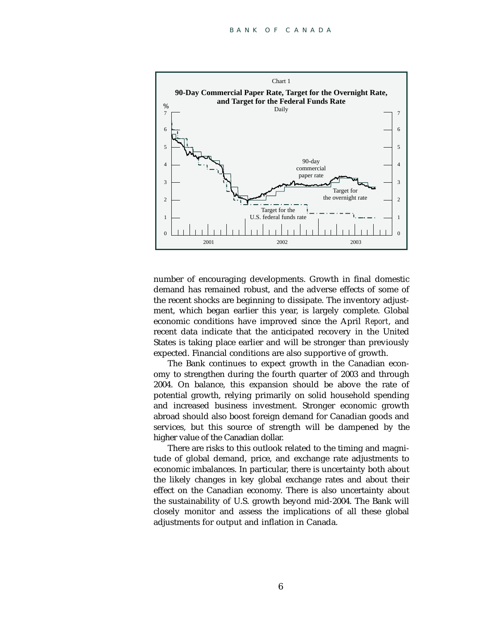

number of encouraging developments. Growth in final domestic demand has remained robust, and the adverse effects of some of the recent shocks are beginning to dissipate. The inventory adjustment, which began earlier this year, is largely complete. Global economic conditions have improved since the April *Report*, and recent data indicate that the anticipated recovery in the United States is taking place earlier and will be stronger than previously expected. Financial conditions are also supportive of growth.

The Bank continues to expect growth in the Canadian economy to strengthen during the fourth quarter of 2003 and through 2004. On balance, this expansion should be above the rate of potential growth, relying primarily on solid household spending and increased business investment. Stronger economic growth abroad should also boost foreign demand for Canadian goods and services, but this source of strength will be dampened by the higher value of the Canadian dollar.

There are risks to this outlook related to the timing and magnitude of global demand, price, and exchange rate adjustments to economic imbalances. In particular, there is uncertainty both about the likely changes in key global exchange rates and about their effect on the Canadian economy. There is also uncertainty about the sustainability of U.S. growth beyond mid-2004. The Bank will closely monitor and assess the implications of all these global adjustments for output and inflation in Canada.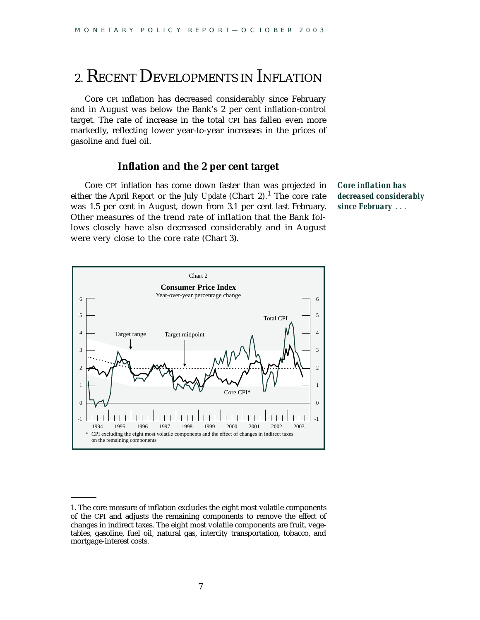## 2. RECENT DEVELOPMENTS IN INFLATION

Core CPI inflation has decreased considerably since February and in August was below the Bank's 2 per cent inflation-control target. The rate of increase in the total CPI has fallen even more markedly, reflecting lower year-to-year increases in the prices of gasoline and fuel oil.

#### **Inflation and the 2 per cent target**

Core CPI inflation has come down faster than was projected in either the April *Report* or the July *Update* (Chart 2).<sup>1</sup> The core rate was 1.5 per cent in August, down from 3.1 per cent last February. Other measures of the trend rate of inflation that the Bank follows closely have also decreased considerably and in August were very close to the core rate (Chart 3).

*Core inflation has decreased considerably since February* . . .



<sup>1.</sup> The core measure of inflation excludes the eight most volatile components of the CPI and adjusts the remaining components to remove the effect of changes in indirect taxes. The eight most volatile components are fruit, vegetables, gasoline, fuel oil, natural gas, intercity transportation, tobacco, and mortgage-interest costs.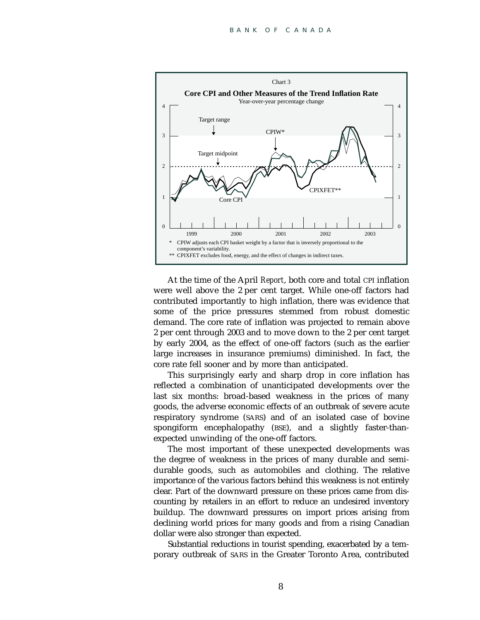

At the time of the April *Report*, both core and total CPI inflation were well above the 2 per cent target. While one-off factors had contributed importantly to high inflation, there was evidence that some of the price pressures stemmed from robust domestic demand. The core rate of inflation was projected to remain above 2 per cent through 2003 and to move down to the 2 per cent target by early 2004, as the effect of one-off factors (such as the earlier large increases in insurance premiums) diminished. In fact, the core rate fell sooner and by more than anticipated.

This surprisingly early and sharp drop in core inflation has reflected a combination of unanticipated developments over the last six months: broad-based weakness in the prices of many goods, the adverse economic effects of an outbreak of severe acute respiratory syndrome (SARS) and of an isolated case of bovine spongiform encephalopathy (BSE), and a slightly faster-thanexpected unwinding of the one-off factors.

The most important of these unexpected developments was the degree of weakness in the prices of many durable and semidurable goods, such as automobiles and clothing. The relative importance of the various factors behind this weakness is not entirely clear. Part of the downward pressure on these prices came from discounting by retailers in an effort to reduce an undesired inventory buildup. The downward pressures on import prices arising from declining world prices for many goods and from a rising Canadian dollar were also stronger than expected.

Substantial reductions in tourist spending, exacerbated by a temporary outbreak of SARS in the Greater Toronto Area, contributed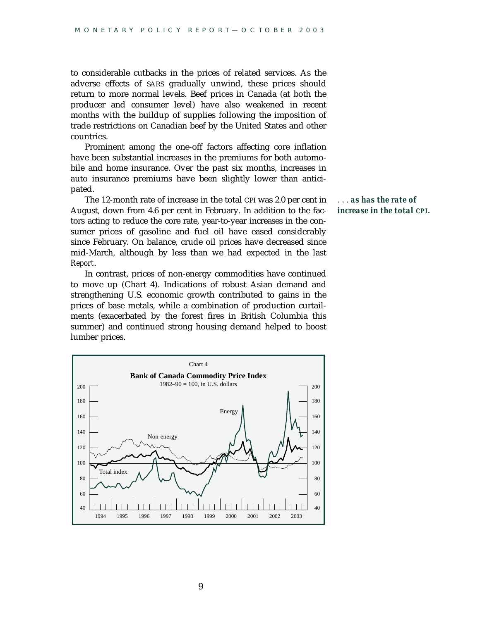to considerable cutbacks in the prices of related services. As the adverse effects of SARS gradually unwind, these prices should return to more normal levels. Beef prices in Canada (at both the producer and consumer level) have also weakened in recent months with the buildup of supplies following the imposition of trade restrictions on Canadian beef by the United States and other countries.

Prominent among the one-off factors affecting core inflation have been substantial increases in the premiums for both automobile and home insurance. Over the past six months, increases in auto insurance premiums have been slightly lower than anticipated.

The 12-month rate of increase in the total CPI was 2.0 per cent in August, down from 4.6 per cent in February. In addition to the factors acting to reduce the core rate, year-to-year increases in the consumer prices of gasoline and fuel oil have eased considerably since February. On balance, crude oil prices have decreased since mid-March, although by less than we had expected in the last *Report*.

In contrast, prices of non-energy commodities have continued to move up (Chart 4). Indications of robust Asian demand and strengthening U.S. economic growth contributed to gains in the prices of base metals, while a combination of production curtailments (exacerbated by the forest fires in British Columbia this summer) and continued strong housing demand helped to boost lumber prices.





9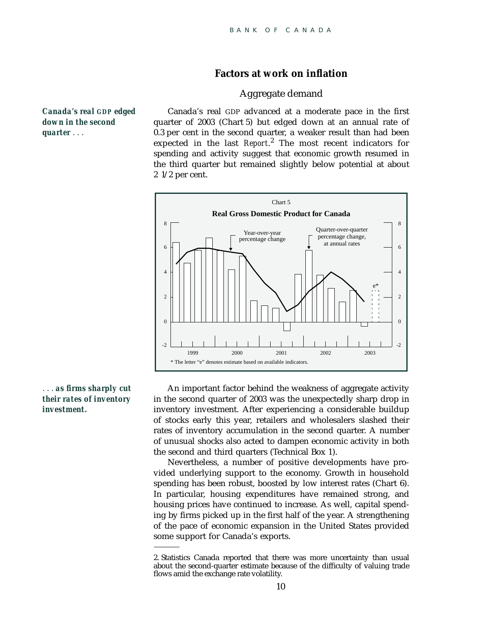#### **Factors at work on inflation**

#### Aggregate demand

Canada's real GDP advanced at a moderate pace in the first quarter of 2003 (Chart 5) but edged down at an annual rate of 0.3 per cent in the second quarter, a weaker result than had been expected in the last *Report*. <sup>2</sup> The most recent indicators for spending and activity suggest that economic growth resumed in the third quarter but remained slightly below potential at about 2 1/2 per cent.



#### . . . *as firms sharply cut their rates of inventory investment.*

An important factor behind the weakness of aggregate activity in the second quarter of 2003 was the unexpectedly sharp drop in inventory investment. After experiencing a considerable buildup of stocks early this year, retailers and wholesalers slashed their rates of inventory accumulation in the second quarter. A number of unusual shocks also acted to dampen economic activity in both the second and third quarters (Technical Box 1).

Nevertheless, a number of positive developments have provided underlying support to the economy. Growth in household spending has been robust, boosted by low interest rates (Chart 6). In particular, housing expenditures have remained strong, and housing prices have continued to increase. As well, capital spending by firms picked up in the first half of the year. A strengthening of the pace of economic expansion in the United States provided some support for Canada's exports.

*Canada's real GDP edged down in the second quarter* . . .

<sup>2.</sup> Statistics Canada reported that there was more uncertainty than usual about the second-quarter estimate because of the difficulty of valuing trade flows amid the exchange rate volatility.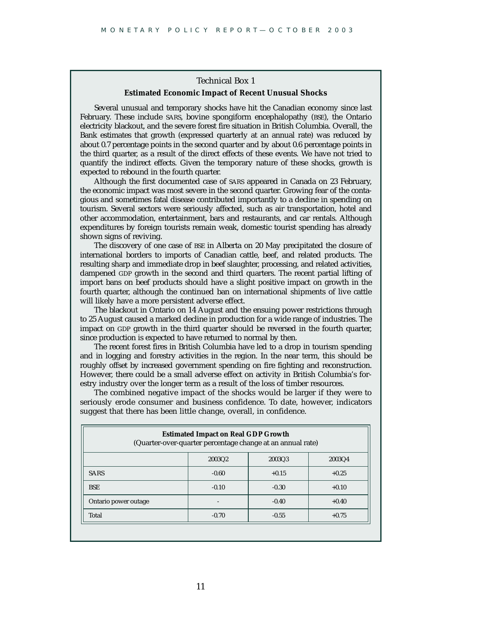#### Technical Box 1 **Estimated Economic Impact of Recent Unusual Shocks**

Several unusual and temporary shocks have hit the Canadian economy since last February. These include SARS, bovine spongiform encephalopathy (BSE), the Ontario electricity blackout, and the severe forest fire situation in British Columbia. Overall, the Bank estimates that growth (expressed quarterly at an annual rate) was reduced by about 0.7 percentage points in the second quarter and by about 0.6 percentage points in the third quarter, as a result of the direct effects of these events. We have not tried to quantify the indirect effects. Given the temporary nature of these shocks, growth is expected to rebound in the fourth quarter.

Although the first documented case of SARS appeared in Canada on 23 February, the economic impact was most severe in the second quarter. Growing fear of the contagious and sometimes fatal disease contributed importantly to a decline in spending on tourism. Several sectors were seriously affected, such as air transportation, hotel and other accommodation, entertainment, bars and restaurants, and car rentals. Although expenditures by foreign tourists remain weak, domestic tourist spending has already shown signs of reviving.

The discovery of one case of BSE in Alberta on 20 May precipitated the closure of international borders to imports of Canadian cattle, beef, and related products. The resulting sharp and immediate drop in beef slaughter, processing, and related activities, dampened GDP growth in the second and third quarters. The recent partial lifting of import bans on beef products should have a slight positive impact on growth in the fourth quarter, although the continued ban on international shipments of live cattle will likely have a more persistent adverse effect.

The blackout in Ontario on 14 August and the ensuing power restrictions through to 25 August caused a marked decline in production for a wide range of industries. The impact on GDP growth in the third quarter should be reversed in the fourth quarter, since production is expected to have returned to normal by then.

The recent forest fires in British Columbia have led to a drop in tourism spending and in logging and forestry activities in the region. In the near term, this should be roughly offset by increased government spending on fire fighting and reconstruction. However, there could be a small adverse effect on activity in British Columbia's forestry industry over the longer term as a result of the loss of timber resources.

The combined negative impact of the shocks would be larger if they were to seriously erode consumer and business confidence. To date, however, indicators suggest that there has been little change, overall, in confidence.

| <b>Estimated Impact on Real GDP Growth</b><br>(Quarter-over-quarter percentage change at an annual rate) |         |         |         |  |  |  |
|----------------------------------------------------------------------------------------------------------|---------|---------|---------|--|--|--|
|                                                                                                          | 2003Q2  | 2003Q3  | 2003Q4  |  |  |  |
| <b>SARS</b>                                                                                              | $-0.60$ | $+0.15$ | $+0.25$ |  |  |  |
| <b>BSE</b>                                                                                               | $-0.10$ | $-0.30$ | $+0.10$ |  |  |  |
| Ontario power outage                                                                                     |         | $-0.40$ | $+0.40$ |  |  |  |
| Total                                                                                                    | $-0.70$ | $-0.55$ | $+0.75$ |  |  |  |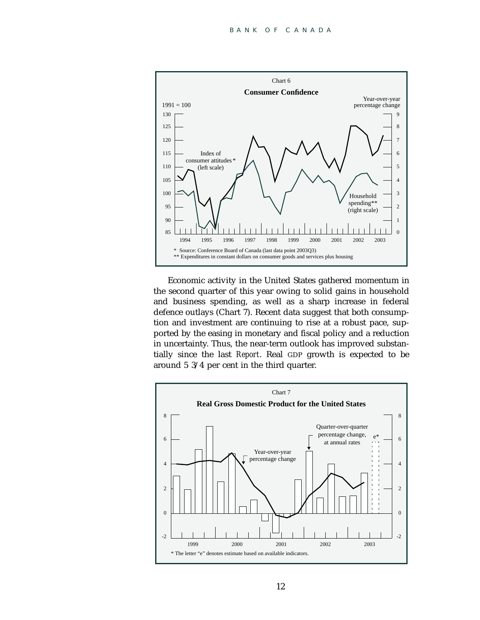

Economic activity in the United States gathered momentum in the second quarter of this year owing to solid gains in household and business spending, as well as a sharp increase in federal defence outlays (Chart 7). Recent data suggest that both consumption and investment are continuing to rise at a robust pace, supported by the easing in monetary and fiscal policy and a reduction in uncertainty. Thus, the near-term outlook has improved substantially since the last *Report*. Real GDP growth is expected to be around 5 3/4 per cent in the third quarter.

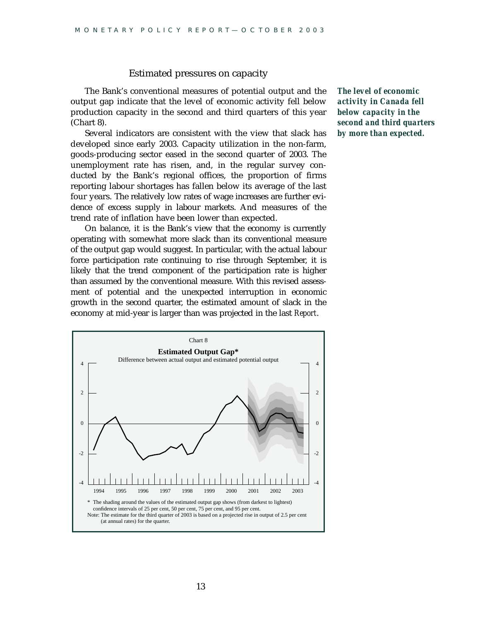#### Estimated pressures on capacity

The Bank's conventional measures of potential output and the output gap indicate that the level of economic activity fell below production capacity in the second and third quarters of this year (Chart 8).

Several indicators are consistent with the view that slack has developed since early 2003. Capacity utilization in the non-farm, goods-producing sector eased in the second quarter of 2003. The unemployment rate has risen, and, in the regular survey conducted by the Bank's regional offices, the proportion of firms reporting labour shortages has fallen below its average of the last four years. The relatively low rates of wage increases are further evidence of excess supply in labour markets. And measures of the trend rate of inflation have been lower than expected.

On balance, it is the Bank's view that the economy is currently operating with somewhat more slack than its conventional measure of the output gap would suggest. In particular, with the actual labour force participation rate continuing to rise through September, it is likely that the trend component of the participation rate is higher than assumed by the conventional measure. With this revised assessment of potential and the unexpected interruption in economic growth in the second quarter, the estimated amount of slack in the economy at mid-year is larger than was projected in the last *Report*.

*The level of economic activity in Canada fell below capacity in the second and third quarters by more than expected.*

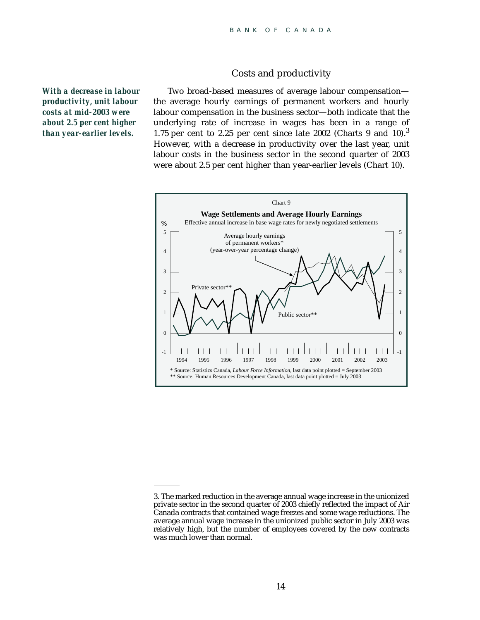#### Costs and productivity

*With a decrease in labour productivity, unit labour costs at mid-2003 were about 2.5 per cent higher than year-earlier levels.*

Two broad-based measures of average labour compensation the average hourly earnings of permanent workers and hourly labour compensation in the business sector—both indicate that the underlying rate of increase in wages has been in a range of 1.75 per cent to 2.25 per cent since late 2002 (Charts 9 and  $10^{3}$ ). However, with a decrease in productivity over the last year, unit labour costs in the business sector in the second quarter of 2003 were about 2.5 per cent higher than year-earlier levels (Chart 10).



<sup>3.</sup> The marked reduction in the average annual wage increase in the unionized private sector in the second quarter of 2003 chiefly reflected the impact of Air Canada contracts that contained wage freezes and some wage reductions. The average annual wage increase in the unionized public sector in July 2003 was relatively high, but the number of employees covered by the new contracts was much lower than normal.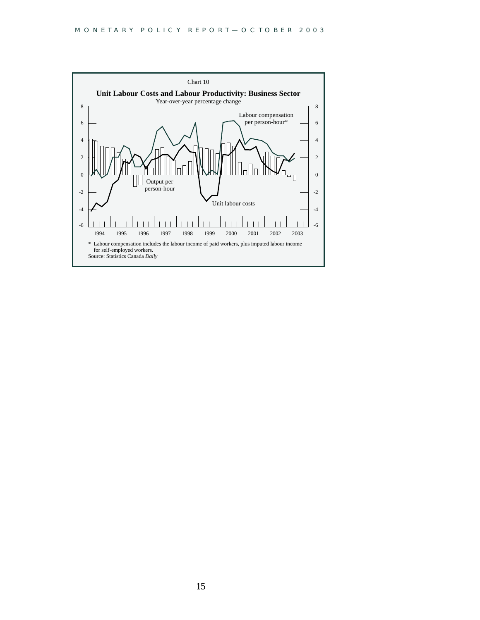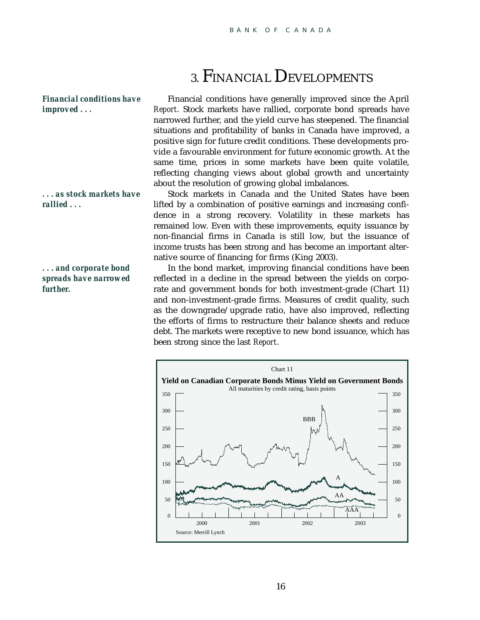## 3. FINANCIAL DEVELOPMENTS

*Financial conditions have improved . . .*

*. . . as stock markets have rallied . . .*

*. . . and corporate bond spreads have narrowed further.*

Financial conditions have generally improved since the April *Report*. Stock markets have rallied, corporate bond spreads have narrowed further, and the yield curve has steepened. The financial situations and profitability of banks in Canada have improved, a positive sign for future credit conditions. These developments provide a favourable environment for future economic growth. At the same time, prices in some markets have been quite volatile, reflecting changing views about global growth and uncertainty about the resolution of growing global imbalances.

Stock markets in Canada and the United States have been lifted by a combination of positive earnings and increasing confidence in a strong recovery. Volatility in these markets has remained low. Even with these improvements, equity issuance by non-financial firms in Canada is still low, but the issuance of income trusts has been strong and has become an important alternative source of financing for firms (King 2003).

In the bond market, improving financial conditions have been reflected in a decline in the spread between the yields on corporate and government bonds for both investment-grade (Chart 11) and non-investment-grade firms. Measures of credit quality, such as the downgrade/upgrade ratio, have also improved, reflecting the efforts of firms to restructure their balance sheets and reduce debt. The markets were receptive to new bond issuance, which has been strong since the last *Report*.

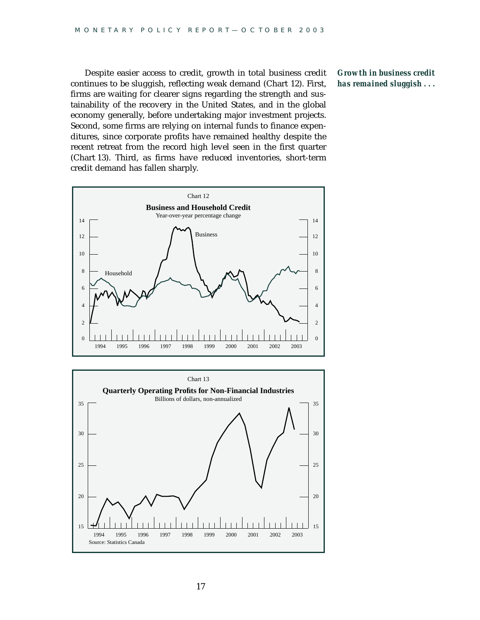Despite easier access to credit, growth in total business credit continues to be sluggish, reflecting weak demand (Chart 12). First, firms are waiting for clearer signs regarding the strength and sustainability of the recovery in the United States, and in the global economy generally, before undertaking major investment projects. Second, some firms are relying on internal funds to finance expenditures, since corporate profits have remained healthy despite the recent retreat from the record high level seen in the first quarter (Chart 13). Third, as firms have reduced inventories, short-term credit demand has fallen sharply.



*Growth in business credit has remained sluggish . . .*

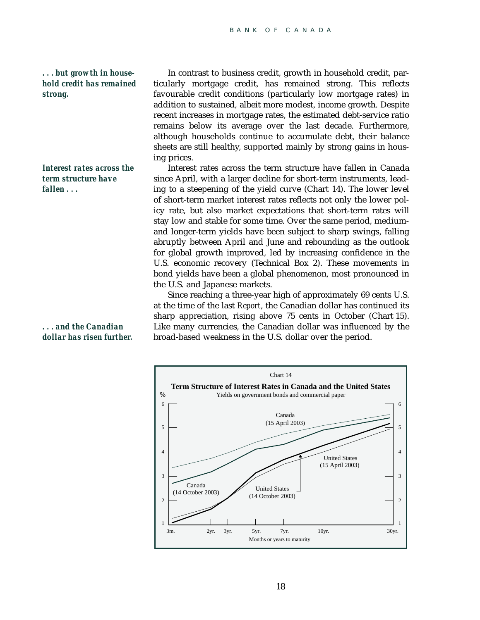#### *. . . but growth in household credit has remained strong.*

*Interest rates across the term structure have fallen . . .*

In contrast to business credit, growth in household credit, particularly mortgage credit, has remained strong. This reflects favourable credit conditions (particularly low mortgage rates) in addition to sustained, albeit more modest, income growth. Despite recent increases in mortgage rates, the estimated debt-service ratio remains below its average over the last decade. Furthermore, although households continue to accumulate debt, their balance sheets are still healthy, supported mainly by strong gains in housing prices.

Interest rates across the term structure have fallen in Canada since April, with a larger decline for short-term instruments, leading to a steepening of the yield curve (Chart 14). The lower level of short-term market interest rates reflects not only the lower policy rate, but also market expectations that short-term rates will stay low and stable for some time. Over the same period, mediumand longer-term yields have been subject to sharp swings, falling abruptly between April and June and rebounding as the outlook for global growth improved, led by increasing confidence in the U.S. economic recovery (Technical Box 2). These movements in bond yields have been a global phenomenon, most pronounced in the U.S. and Japanese markets.

Since reaching a three-year high of approximately 69 cents U.S. at the time of the last *Report*, the Canadian dollar has continued its sharp appreciation, rising above 75 cents in October (Chart 15). Like many currencies, the Canadian dollar was influenced by the broad-based weakness in the U.S. dollar over the period.



*. . . and the Canadian dollar has risen further.*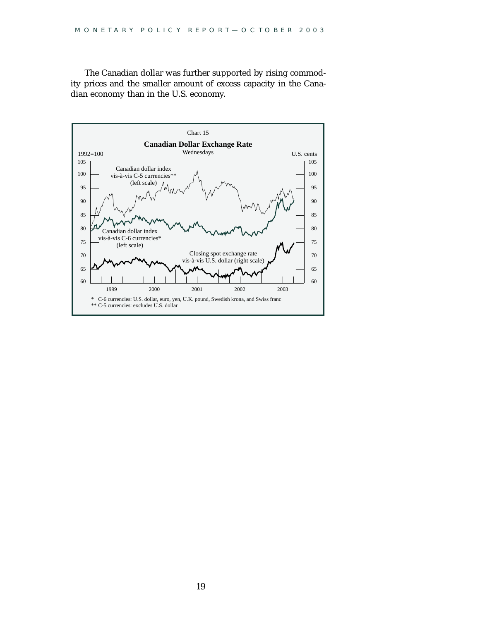The Canadian dollar was further supported by rising commodity prices and the smaller amount of excess capacity in the Canadian economy than in the U.S. economy.

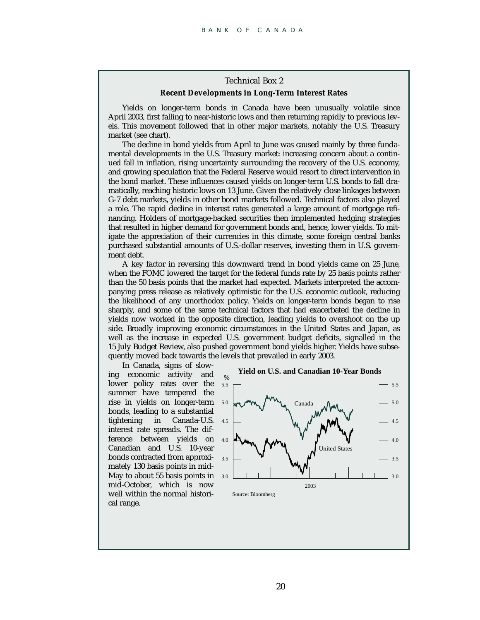#### Technical Box 2

#### **Recent Developments in Long-Term Interest Rates**

Yields on longer-term bonds in Canada have been unusually volatile since April 2003, first falling to near-historic lows and then returning rapidly to previous levels. This movement followed that in other major markets, notably the U.S. Treasury market (see chart).

The decline in bond yields from April to June was caused mainly by three fundamental developments in the U.S. Treasury market: increasing concern about a continued fall in inflation, rising uncertainty surrounding the recovery of the U.S. economy, and growing speculation that the Federal Reserve would resort to direct intervention in the bond market. These influences caused yields on longer-term U.S. bonds to fall dramatically, reaching historic lows on 13 June. Given the relatively close linkages between G-7 debt markets, yields in other bond markets followed. Technical factors also played a role. The rapid decline in interest rates generated a large amount of mortgage refinancing. Holders of mortgage-backed securities then implemented hedging strategies that resulted in higher demand for government bonds and, hence, lower yields. To mitigate the appreciation of their currencies in this climate, some foreign central banks purchased substantial amounts of U.S.-dollar reserves, investing them in U.S. government debt.

A key factor in reversing this downward trend in bond yields came on 25 June, when the FOMC lowered the target for the federal funds rate by 25 basis points rather than the 50 basis points that the market had expected. Markets interpreted the accompanying press release as relatively optimistic for the U.S. economic outlook, reducing the likelihood of any unorthodox policy. Yields on longer-term bonds began to rise sharply, and some of the same technical factors that had exacerbated the decline in yields now worked in the opposite direction, leading yields to overshoot on the up side. Broadly improving economic circumstances in the United States and Japan, as well as the increase in expected U.S. government budget deficits, signalled in the 15 July Budget Review, also pushed government bond yields higher. Yields have subsequently moved back towards the levels that prevailed in early 2003.

In Canada, signs of slowing economic activity and lower policy rates over the summer have tempered the rise in yields on longer-term bonds, leading to a substantial tightening in Canada-U.S. interest rate spreads. The difference between yields on Canadian and U.S. 10-year bonds contracted from approxi-3.5 mately 130 basis points in mid-May to about 55 basis points in 3.0 mid-October, which is now well within the normal historical range.



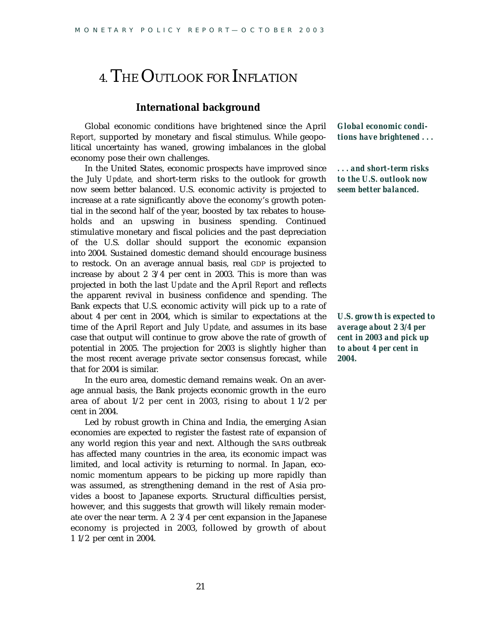## 4. THE OUTLOOK FOR INFLATION

#### **International background**

Global economic conditions have brightened since the April *Report,* supported by monetary and fiscal stimulus. While geopolitical uncertainty has waned, growing imbalances in the global economy pose their own challenges.

In the United States, economic prospects have improved since the July *Update,* and short-term risks to the outlook for growth now seem better balanced. U.S. economic activity is projected to increase at a rate significantly above the economy's growth potential in the second half of the year, boosted by tax rebates to households and an upswing in business spending. Continued stimulative monetary and fiscal policies and the past depreciation of the U.S. dollar should support the economic expansion into 2004. Sustained domestic demand should encourage business to restock. On an average annual basis, real GDP is projected to increase by about 2 3/4 per cent in 2003. This is more than was projected in both the last *Update* and the April *Report* and reflects the apparent revival in business confidence and spending. The Bank expects that U.S. economic activity will pick up to a rate of about 4 per cent in 2004, which is similar to expectations at the time of the April *Report* and July *Update*, and assumes in its base case that output will continue to grow above the rate of growth of potential in 2005. The projection for 2003 is slightly higher than the most recent average private sector consensus forecast, while that for 2004 is similar.

In the euro area, domestic demand remains weak. On an average annual basis, the Bank projects economic growth in the euro area of about 1/2 per cent in 2003, rising to about 1 1/2 per cent in 2004.

Led by robust growth in China and India, the emerging Asian economies are expected to register the fastest rate of expansion of any world region this year and next. Although the SARS outbreak has affected many countries in the area, its economic impact was limited, and local activity is returning to normal. In Japan, economic momentum appears to be picking up more rapidly than was assumed, as strengthening demand in the rest of Asia provides a boost to Japanese exports. Structural difficulties persist, however, and this suggests that growth will likely remain moderate over the near term. A 2 3/4 per cent expansion in the Japanese economy is projected in 2003, followed by growth of about 1 1/2 per cent in 2004.

*Global economic conditions have brightened . . .*

*. . . and short-term risks to the U.S. outlook now seem better balanced.*

*U.S. growth is expected to average about 2 3/4 per cent in 2003 and pick up to about 4 per cent in 2004.*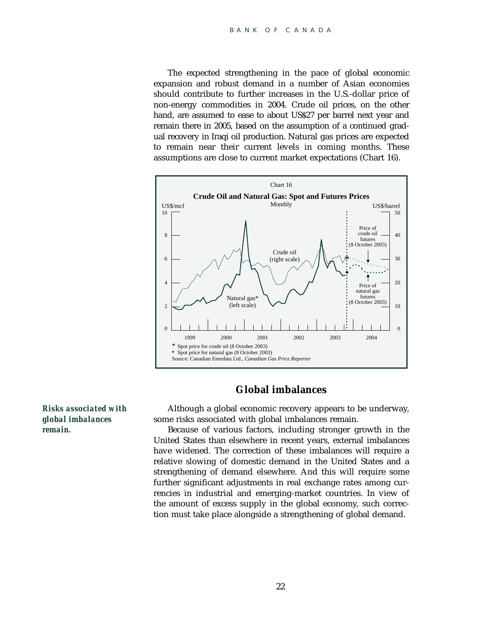The expected strengthening in the pace of global economic expansion and robust demand in a number of Asian economies should contribute to further increases in the U.S.-dollar price of non-energy commodities in 2004. Crude oil prices, on the other hand, are assumed to ease to about US\$27 per barrel next year and remain there in 2005, based on the assumption of a continued gradual recovery in Iraqi oil production. Natural gas prices are expected to remain near their current levels in coming months. These assumptions are close to current market expectations (Chart 16).



#### **Global imbalances**

Although a global economic recovery appears to be underway, some risks associated with global imbalances remain.

Because of various factors, including stronger growth in the United States than elsewhere in recent years, external imbalances have widened. The correction of these imbalances will require a relative slowing of domestic demand in the United States and a strengthening of demand elsewhere. And this will require some further significant adjustments in real exchange rates among currencies in industrial and emerging-market countries. In view of the amount of excess supply in the global economy, such correction must take place alongside a strengthening of global demand.

*Risks associated with global imbalances remain.*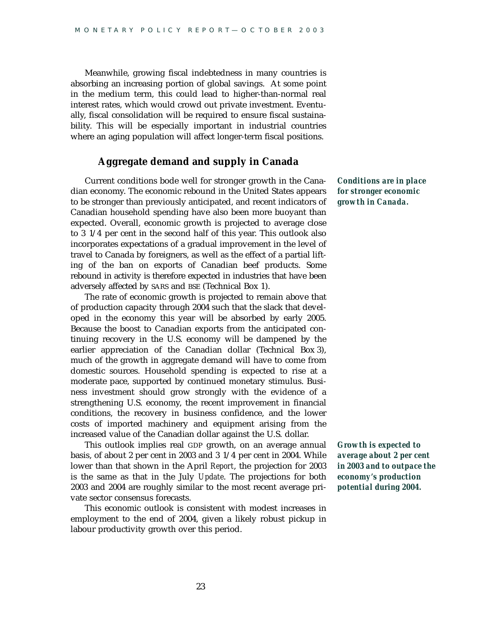Meanwhile, growing fiscal indebtedness in many countries is absorbing an increasing portion of global savings. At some point in the medium term, this could lead to higher-than-normal real interest rates, which would crowd out private investment. Eventually, fiscal consolidation will be required to ensure fiscal sustainability. This will be especially important in industrial countries where an aging population will affect longer-term fiscal positions.

#### **Aggregate demand and supply in Canada**

Current conditions bode well for stronger growth in the Canadian economy. The economic rebound in the United States appears to be stronger than previously anticipated, and recent indicators of Canadian household spending have also been more buoyant than expected. Overall, economic growth is projected to average close to 3 1/4 per cent in the second half of this year. This outlook also incorporates expectations of a gradual improvement in the level of travel to Canada by foreigners, as well as the effect of a partial lifting of the ban on exports of Canadian beef products. Some rebound in activity is therefore expected in industries that have been adversely affected by SARS and BSE (Technical Box 1).

The rate of economic growth is projected to remain above that of production capacity through 2004 such that the slack that developed in the economy this year will be absorbed by early 2005. Because the boost to Canadian exports from the anticipated continuing recovery in the U.S. economy will be dampened by the earlier appreciation of the Canadian dollar (Technical Box 3), much of the growth in aggregate demand will have to come from domestic sources. Household spending is expected to rise at a moderate pace, supported by continued monetary stimulus. Business investment should grow strongly with the evidence of a strengthening U.S. economy, the recent improvement in financial conditions, the recovery in business confidence, and the lower costs of imported machinery and equipment arising from the increased value of the Canadian dollar against the U.S. dollar.

This outlook implies real GDP growth, on an average annual basis, of about 2 per cent in 2003 and 3 1/4 per cent in 2004. While lower than that shown in the April *Report*, the projection for 2003 is the same as that in the July *Update*. The projections for both 2003 and 2004 are roughly similar to the most recent average private sector consensus forecasts.

This economic outlook is consistent with modest increases in employment to the end of 2004, given a likely robust pickup in labour productivity growth over this period.

*Conditions are in place for stronger economic growth in Canada.*

*Growth is expected to average about 2 per cent in 2003 and to outpace the economy's production potential during 2004.*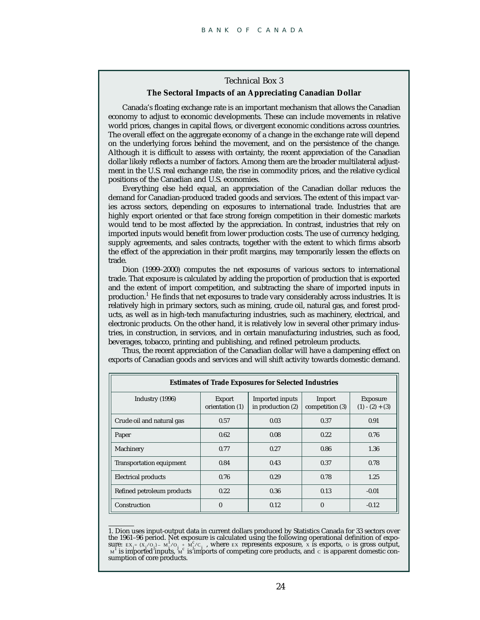#### Technical Box 3 **The Sectoral Impacts of an Appreciating Canadian Dollar**

Canada's floating exchange rate is an important mechanism that allows the Canadian economy to adjust to economic developments. These can include movements in relative world prices, changes in capital flows, or divergent economic conditions across countries. The overall effect on the aggregate economy of a change in the exchange rate will depend on the underlying forces behind the movement, and on the persistence of the change. Although it is difficult to assess with certainty, the recent appreciation of the Canadian dollar likely reflects a number of factors. Among them are the broader multilateral adjustment in the U.S. real exchange rate, the rise in commodity prices, and the relative cyclical positions of the Canadian and U.S. economies.

Everything else held equal, an appreciation of the Canadian dollar reduces the demand for Canadian-produced traded goods and services. The extent of this impact varies across sectors, depending on exposures to international trade. Industries that are highly export oriented or that face strong foreign competition in their domestic markets would tend to be most affected by the appreciation. In contrast, industries that rely on imported inputs would benefit from lower production costs. The use of currency hedging, supply agreements, and sales contracts, together with the extent to which firms absorb the effect of the appreciation in their profit margins, may temporarily lessen the effects on trade.

Dion (1999–2000) computes the net exposures of various sectors to international trade. That exposure is calculated by adding the proportion of production that is exported and the extent of import competition, and subtracting the share of imported inputs in production.<sup>1</sup> He finds that net exposures to trade vary considerably across industries. It is relatively high in primary sectors, such as mining, crude oil, natural gas, and forest products, as well as in high-tech manufacturing industries, such as machinery, electrical, and electronic products. On the other hand, it is relatively low in several other primary industries, in construction, in services, and in certain manufacturing industries, such as food, beverages, tobacco, printing and publishing, and refined petroleum products.

Thus, the recent appreciation of the Canadian dollar will have a dampening effect on exports of Canadian goods and services and will shift activity towards domestic demand.

| <b>Estimates of Trade Exposures for Selected Industries</b> |                                  |                                      |                           |                                      |  |  |  |
|-------------------------------------------------------------|----------------------------------|--------------------------------------|---------------------------|--------------------------------------|--|--|--|
| Industry (1996)                                             | <b>Export</b><br>orientation (1) | Imported inputs<br>in production (2) | Import<br>competition (3) | <b>Exposure</b><br>$(1) - (2) + (3)$ |  |  |  |
| Crude oil and natural gas                                   | 0.57                             | 0.03                                 | 0.37                      | 0.91                                 |  |  |  |
| Paper                                                       | 0.62                             | 0.08                                 | 0.22                      | 0.76                                 |  |  |  |
| Machinery                                                   | 0.77                             | 0.27                                 | 0.86                      | 1.36                                 |  |  |  |
| <b>Transportation equipment</b>                             | 0.84                             | 0.43                                 | 0.37                      | 0.78                                 |  |  |  |
| <b>Electrical products</b>                                  | 0.76                             | 0.29                                 | 0.78                      | 1.25                                 |  |  |  |
| Refined petroleum products                                  | 0.22                             | 0.36                                 | 0.13                      | $-0.01$                              |  |  |  |
| Construction                                                | $\mathbf{0}$                     | 0.12                                 | $\mathbf{0}$              | $-0.12$                              |  |  |  |

1. Dion uses input-output data in current dollars produced by Statistics Canada for 33 sectors over the 1961–96 period. Net exposure is calculated using the following operational definition of exposure:  $EX_i = (X_i/O_i) - (M_i/O_i) + (M_i°/C_i)$ , where EX represents exposure, x is exports, o is gross output, is imported inputs,  $M^c$  is imports of competing core products, and c is apparent domestic con-<br>  $M^d$  is imported inputs,  $M^c$  is imports of competing core products, and c is apparent domestic consumption of core products.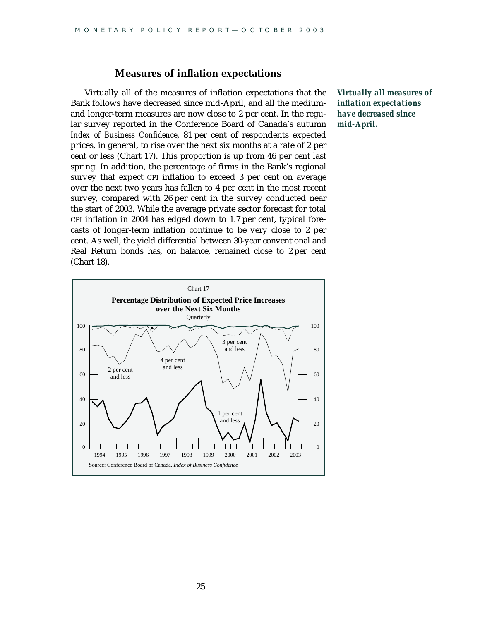#### **Measures of inflation expectations**

Virtually all of the measures of inflation expectations that the Bank follows have decreased since mid-April, and all the mediumand longer-term measures are now close to 2 per cent. In the regular survey reported in the Conference Board of Canada's autumn *Index of Business Confidence*, 81 per cent of respondents expected prices, in general, to rise over the next six months at a rate of 2 per cent or less (Chart 17). This proportion is up from 46 per cent last spring. In addition, the percentage of firms in the Bank's regional survey that expect CPI inflation to exceed 3 per cent on average over the next two years has fallen to 4 per cent in the most recent survey, compared with 26 per cent in the survey conducted near the start of 2003. While the average private sector forecast for total CPI inflation in 2004 has edged down to 1.7 per cent, typical forecasts of longer-term inflation continue to be very close to 2 per cent. As well, the yield differential between 30-year conventional and Real Return bonds has, on balance, remained close to 2 per cent (Chart 18).

*Virtually all measures of inflation expectations have decreased since mid-April.*

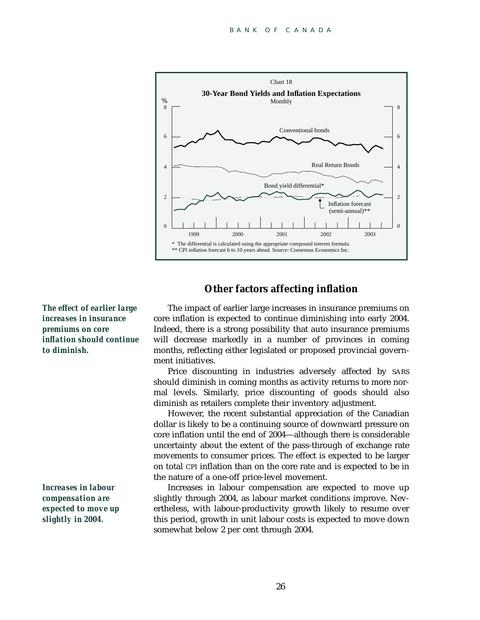

#### **Other factors affecting inflation**

*The effect of earlier large increases in insurance premiums on core inflation should continue to diminish.*

*Increases in labour compensation are expected to move up slightly in 2004.*

The impact of earlier large increases in insurance premiums on core inflation is expected to continue diminishing into early 2004. Indeed, there is a strong possibility that auto insurance premiums will decrease markedly in a number of provinces in coming months, reflecting either legislated or proposed provincial government initiatives.

Price discounting in industries adversely affected by SARS should diminish in coming months as activity returns to more normal levels. Similarly, price discounting of goods should also diminish as retailers complete their inventory adjustment.

However, the recent substantial appreciation of the Canadian dollar is likely to be a continuing source of downward pressure on core inflation until the end of 2004—although there is considerable uncertainty about the extent of the pass-through of exchange rate movements to consumer prices. The effect is expected to be larger on total CPI inflation than on the core rate and is expected to be in the nature of a one-off price-level movement.

Increases in labour compensation are expected to move up slightly through 2004, as labour market conditions improve. Nevertheless, with labour-productivity growth likely to resume over this period, growth in unit labour costs is expected to move down somewhat below 2 per cent through 2004.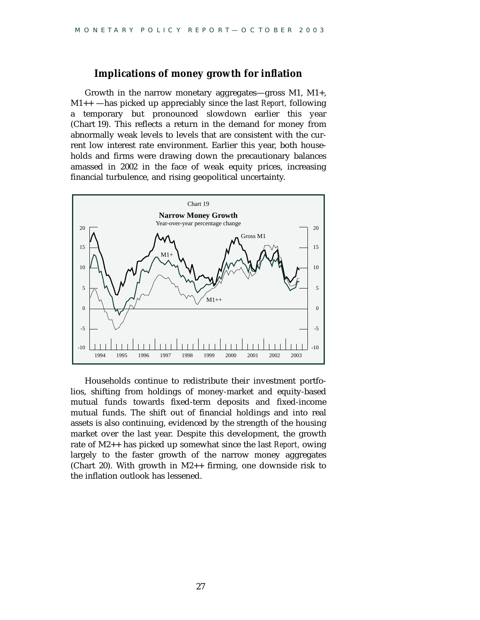#### **Implications of money growth for inflation**

Growth in the narrow monetary aggregates—gross M1, M1+, M1++ —has picked up appreciably since the last *Report,* following a temporary but pronounced slowdown earlier this year (Chart 19). This reflects a return in the demand for money from abnormally weak levels to levels that are consistent with the current low interest rate environment. Earlier this year, both households and firms were drawing down the precautionary balances amassed in 2002 in the face of weak equity prices, increasing financial turbulence, and rising geopolitical uncertainty.



Households continue to redistribute their investment portfolios, shifting from holdings of money-market and equity-based mutual funds towards fixed-term deposits and fixed-income mutual funds. The shift out of financial holdings and into real assets is also continuing, evidenced by the strength of the housing market over the last year. Despite this development, the growth rate of M2++ has picked up somewhat since the last *Report,* owing largely to the faster growth of the narrow money aggregates (Chart 20). With growth in M2++ firming, one downside risk to the inflation outlook has lessened.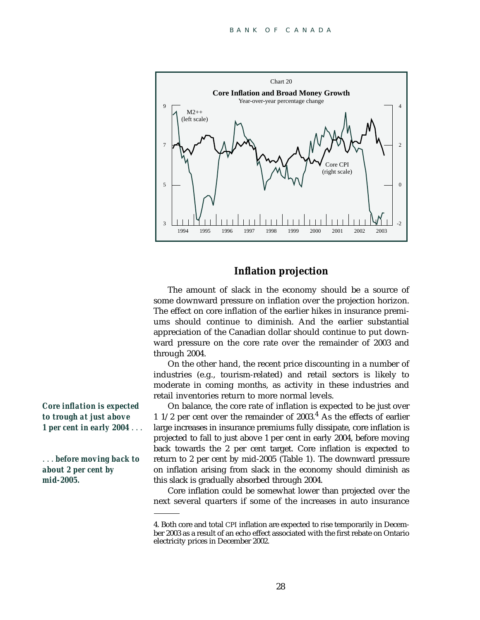

#### **Inflation projection**

The amount of slack in the economy should be a source of some downward pressure on inflation over the projection horizon. The effect on core inflation of the earlier hikes in insurance premiums should continue to diminish. And the earlier substantial appreciation of the Canadian dollar should continue to put downward pressure on the core rate over the remainder of 2003 and through 2004.

On the other hand, the recent price discounting in a number of industries (e.g., tourism-related) and retail sectors is likely to moderate in coming months, as activity in these industries and retail inventories return to more normal levels.

On balance, the core rate of inflation is expected to be just over 1  $1/2$  per cent over the remainder of 2003.<sup>4</sup> As the effects of earlier large increases in insurance premiums fully dissipate, core inflation is projected to fall to just above 1 per cent in early 2004, before moving back towards the 2 per cent target. Core inflation is expected to return to 2 per cent by mid-2005 (Table 1). The downward pressure on inflation arising from slack in the economy should diminish as this slack is gradually absorbed through 2004.

Core inflation could be somewhat lower than projected over the next several quarters if some of the increases in auto insurance

*Core inflation is expected to trough at just above 1 per cent in early 2004* ...

. . . *before moving back to about 2 per cent by mid-2005.*

<sup>4.</sup> Both core and total CPI inflation are expected to rise temporarily in December 2003 as a result of an echo effect associated with the first rebate on Ontario electricity prices in December 2002.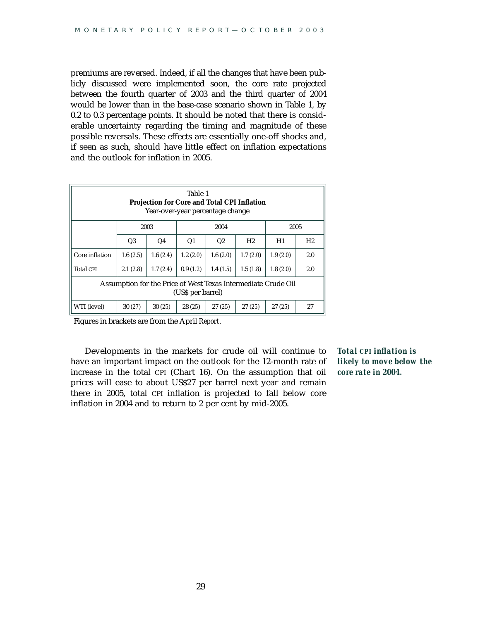premiums are reversed. Indeed, if all the changes that have been publicly discussed were implemented soon, the core rate projected between the fourth quarter of 2003 and the third quarter of 2004 would be lower than in the base-case scenario shown in Table 1, by 0.2 to 0.3 percentage points. It should be noted that there is considerable uncertainty regarding the timing and magnitude of these possible reversals. These effects are essentially one-off shocks and, if seen as such, should have little effect on inflation expectations and the outlook for inflation in 2005.

| Table 1<br><b>Projection for Core and Total CPI Inflation</b><br>Year-over-year percentage change |          |                |                |          |                |          |                |  |
|---------------------------------------------------------------------------------------------------|----------|----------------|----------------|----------|----------------|----------|----------------|--|
|                                                                                                   |          | 2003           | 2004           |          |                | 2005     |                |  |
|                                                                                                   | Q3       | Q <sub>4</sub> | Q <sub>1</sub> | Q2       | H <sub>2</sub> | H1       | H <sub>2</sub> |  |
| Core inflation                                                                                    | 1.6(2.5) | 1.6(2.4)       | 1.2(2.0)       | 1.6(2.0) | 1.7(2.0)       | 1.9(2.0) | 2.0            |  |
| <b>Total CPI</b>                                                                                  | 2.1(2.8) | 1.7(2.4)       | 0.9(1.2)       | 1.4(1.5) | 1.5(1.8)       | 1.8(2.0) | 2.0            |  |
| Assumption for the Price of West Texas Intermediate Crude Oil<br>(US\$ per barrel)                |          |                |                |          |                |          |                |  |
| WTI (level)                                                                                       | 30(27)   | 30(25)         | 28(25)         | 27(25)   | 27(25)         | 27(25)   | 27             |  |

Figures in brackets are from the April *Report*.

Developments in the markets for crude oil will continue to have an important impact on the outlook for the 12-month rate of increase in the total CPI (Chart 16). On the assumption that oil prices will ease to about US\$27 per barrel next year and remain there in 2005, total CPI inflation is projected to fall below core inflation in 2004 and to return to 2 per cent by mid-2005.

*Total CPI inflation is likely to move below the core rate in 2004.*